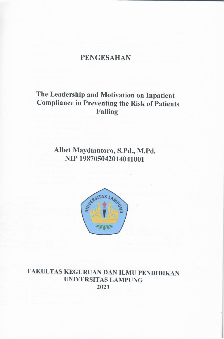# **PENGESAHAN**

## The Leadership and Motivation on Inpatient **Compliance in Preventing the Risk of Patients Falling**

# Albet Maydiantoro, S.Pd., M.Pd. NIP 198705042014041001



FAKULTAS KEGURUAN DAN ILMU PENDIDIKAN **UNIVERSITAS LAMPUNG** 2021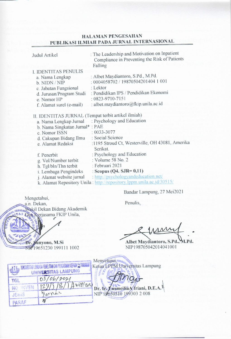### **HALAMAN PENGESAHAN** PUBLIKASI ILMIAH PADA JURNAL INTERNASIONAL

| Judul Artikel                                       | : The Leadership and Motivation on Inpatient<br>Compliance in Preventing the Risk of Patients<br>Falling |
|-----------------------------------------------------|----------------------------------------------------------------------------------------------------------|
|                                                     |                                                                                                          |
| <b>I. IDENTITAS PENULIS</b>                         | : Albet Maydiantoro, S.Pd., M.Pd.                                                                        |
| a. Nama Lengkap                                     | : 0004058702 / 19870504201404 1 001                                                                      |
| b. NIDN / NIP                                       | : Lektor                                                                                                 |
| c. Jabatan Fungsional                               | : Pendidikan IPS / Pendidikan Ekonomi                                                                    |
| d. Jurusan/Program Studi                            | : 0823-9710-7151                                                                                         |
| e. Nomor HP<br>f. Alamat surel (e-mail)             | : albet.maydiantoro@fkip.unila.ac.id                                                                     |
|                                                     |                                                                                                          |
| II. IDENTITAS JURNAL (Tempat terbit artikel ilmiah) |                                                                                                          |
| a. Nama Lengkap Jurnal                              | : Psychology and Education                                                                               |
| b. Nama Singkatan Jurnal*: PAE                      |                                                                                                          |
| c. Nomor ISSN                                       | $: 0033 - 3077$                                                                                          |
| d. Cakupan Bidang Ilmu                              | : Social Science                                                                                         |
| e. Alamat Redaksi                                   | :1195 Stroud Ct, Westerville, OH 43081, Amerika                                                          |
|                                                     | Serikat.                                                                                                 |
| f. Penerbit                                         | : Psychology and Education                                                                               |
| g. Vol/Number terbit                                | : Volume 58 No. 2                                                                                        |
| h. Tgl/bln/Thn terbit                               | : Februari 2021                                                                                          |
| i. Lembaga Pengindeks                               | : Scopus (Q4. SJR= $0,11$ )                                                                              |
| j. Alamat website jurnal                            | : http://psychologyandeducation.net/                                                                     |
|                                                     | k. Alamat Repository Unila: http://repository.lppm.unila.ac.id/30515/                                    |
|                                                     |                                                                                                          |

Bandar Lampung, 27 Mei2021

Mengetahui, a.n. Dekan, ERUDAN WAKil Dekan Bidang Akademik Dan Kerjasama FKIP Unila,

Munyono, M.Si

19651230 199111 1002

Penulis,

Albet Maydiantoro, S.Pd., M.Pd. NIP198705042014041001

|       | T ELL DOKUMENTASI LEWAGA PENELITAN DAN PENGABUAN KEPADA TE STARAKA<br>UNIVERSITAS LAMPUNG | Menyetujui,<br>Ketua LPPM Universitas Lampung |
|-------|-------------------------------------------------------------------------------------------|-----------------------------------------------|
| TGI   | 03/06/2021                                                                                |                                               |
|       | $18/14$ roll 200                                                                          | Dr. Ir. Zusmeilia Afriani, D.E.A.             |
| JENIS |                                                                                           |                                               |
| PARAF |                                                                                           |                                               |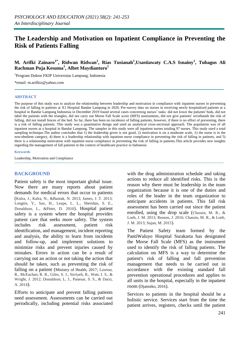## **The Leadership and Motivation on Inpatient Compliance in Preventing the Risk of Patients Falling**

**M. Arifki Zainaro1\* , Ridwan Ridwan<sup>1</sup> , Rias Tusianah<sup>1</sup> ,Usastiawaty C.A.S Isnainy<sup>1</sup> , Tubagus Ali Rachman Puja Kesuma<sup>1</sup> , Albet Maydiantoro<sup>1</sup>**

1 Program Doktor FKIP Universitas Lampung, Indonesia

\*email: m.arifkiz@yahoo.com

#### **ABSTRACT**

The purpose of this study was to analyze the relationship between leadership and motivation in compliance with inpatient nurses in preventing the risk of falling in patients at X1 Hospital Bandar Lampung in 2020. Pre-survey data on nurses in receiving newly hospitalized patients at a hospital in Bandar Lampung Indonesia in December 2019 found several cases concerning nurses' tasks: did not lower the patients' beds, did not label the patients with the triangles, did not carry out Morse Fall Scale score (MFS) assessments, did not give patients' wristbands the risk of falling, did not install fences of the bed. So far, there has been no incidence of falling patients, however, if there is no effort of preventing, there is a risk of falling patients. This study was a quantitative design and used an analytical cross-sectional approach. The population was of all inpatient nurses at a hospital in Bandar Lampung. The samples in this study were all inpatient nurses totaling 97 nurses. This study used a total sampling technique.The author concludes that 1) the leadership given is not good, 2) motivation is on a moderate scale, 3) the nurse is in the non-obedient category, 4) there is a leadership relationship with inpatient nurse compliance in preventing the risk of falling in patients, and 5) there is a relationship motivation with inpatient nurse compliance in preventing the risk of falling in patients.This article provides new insights regarding the management of fall patients in the context of healthcare practice in Indonesia

#### **Keywords**

Leadership, Motivation and Compliance

#### **BACKGROUND**

Patient safety is the most important global issue. Now there are many reports about patient demands for medical errors that occur to patients (Kalra, J., Kalra, N., &Baniak, N. 2013; James, J. T. 2013; Longtin, Y., Sax, H., Leape, L. L., Sheridan, S. E., Donaldson, L., &Pittet, D. 2010). Hospital patient safety is a system where the hospital provides patient care that seeks more safety. The system includes risk assessment, patient risk identification, and management, incident reporting and analysis, the ability to learn from incidents and follow-up, and implement solutions to minimize risks and prevent injuries caused by mistakes. Errors in action can be a result of carrying out an action or not taking the action that should be taken, such as preventing the risk of falling on a patient (Ministry of Health, 2017; Lawton, R., McEachan, R. R., Giles, S. J., Sirriyeh, R., Watt, I. S., & Wright, J. 2012; Donaldson, L. J., Panesar, S. S., & Darzi, A. 2014).

Efforts to anticipate and prevent falling patients need assessment. Assessments can be carried out periodically, including potential risks associated with the drug administration schedule and taking actions to reduce all identified risks. This is the reason why there must be leadership in the team organization because it is one of the duties and roles of the leader in the team organization to anticipate accidents in patients. This fall risk assessment has been carried out since the patient enrolled, using the drop scale (Chassin, M. R., & Loeb, J. M. 2013; Reason, J. 2016; Chassin, M. R., & Loeb, J. M. 2013; Sujan, M. 2015).

The Patient Safety team formed by the PantiWaluyo Hospital Surakarta has designated the Morse Fall Scale (MFS) as the instrument used to identify the risk of falling patients. The calculation on MFS is a way to determine the patient's risk of falling and fall prevention management that needs to be carried out in accordance with the existing standard fall prevention operational procedures and applies to all units in the hospital, especially in the inpatient room (Djatmiko, 2016).

Services to patients in the hospital should be a holistic service. Services start from the time the patient arrives, registers, checks until the patient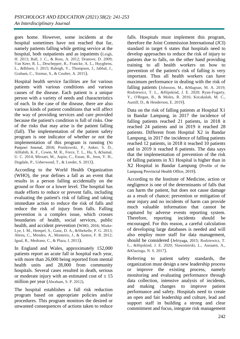goes home. However, some incidents at the hospital sometimes have not reached that far, namely patients falling while getting service at the hospital, both outpatients and as inpatients (Leigh, H. 2013; Ball, J. C., & Ross, A. 2012; Dranove, D. 2009; Van Keer, R. L., Deschepper, R., Francke, A. L., Huyghens, L., &Bilsen, J. 2015; Raleigh, V., Thompson, J., Jabbal, J., Graham, C., Sizmur, S., & Coulter, A. 2015).

Hospital health service facilities are for various patients with various conditions and various causes of the disease. Each patient is a unique person with a variety of needs and characteristics of each. In the case of the disease, there are also various kinds of patient conditions that will affect the way of providing services and care provided because the patient's condition is full of risks. One of the risks that may arise is the patient falling (fall). The implementation of the patient safety program is one indicator of whether or not the implementation of this program is running (Ni Panjawi Journal, 2016; Ponikowski, P., Anker, S. D., AlHabib, K. F., Cowie, M. R., Force, T. L., Hu, S, &Samal, U. C. 2014; Mirzaei, M., Aspin, C., Essue, B., Jeon, Y. H., Dugdale, P., Usherwood, T., & Leeder, S. 2013).

According to the World Health Organization (WHO), the year defines a fall as an event that results in a person falling accidentally on the ground or floor or a lower level. The hospital has made efforts to reduce or prevent falls, including evaluating the patient's risk of falling and taking immediate action to reduce the risk of falls and reduce the risk of injury from falls. Falling prevention is a complex issue, which crosses boundaries of health, social services, public health, and accident prevention (WHO, 2016; Miake-Lye, I. M., Hempel, S., Ganz, D. A., &Shekelle, P. G. 2013; Abreu, C., Mendes, A., Monteiro, J., & Santos, F. R. 2012; Igual, R., Medrano, C., & Plaza, I. 2013).

In England and Wales, approximately 152,000 patients report an acute fall in hospital each year, with more than 26,000 being reported from mental health units and 28,000 from community hospitals. Several cases resulted in death, serious or moderate injury with an estimated cost of  $\pm$  15 million per year (Abraham, S. P. 2012).

The hospital establishes a fall risk reduction program based on appropriate policies and/or procedures. This program monitors the desired or unwanted consequences of actions taken to reduce falls. Hospitals must implement this program, therefore the Joint Commission International (JCI) standard in target 6 states that hospitals need to develop approaches to reduce the risk of injury to patients due to falls, on the other hand providing training to all health workers on how to prevention of the patient's risk of falling is very important. Thus all health workers can have maximum performance in dealing with the risk of falling patients (Johnston, M., &Magnan, M. A. 2019; Rodziewicz, T. L., &Hipskind, J. E. 2020; Ryan-Fogarty, Y., O'Regan, B., & Moles, R. 2016; Kocakulah, M. C., Austill, D., & Henderson, E. 2019).

Data on the risk of falling patients at Hospital X1 in Bandar Lampung, in 2017 the incidence of falling patients reached 21 patients, in 2018 it reached 24 patients and in 2019 it reached 28 patients. Different from Hospital X2 in Bandar Lampung, in 2017 the incidence of falling patients reached 12 patients, in 2018 it reached 10 patients and in 2019 it reached 8 patients. The data says that the implementation of prevention of the risk of falling patients in X1 Hospital is higher than in X2 Hospital in Bandar Lampung (Profile of the Lampung Provincial Health Office, 2019).

According to the Institute of Medicine, action or negligence is one of the determinants of falls that can harm the patient, but does not cause damage as a result of chance; prevention or mitigation of near injury and no incidents of harm can provide much valuable information that cannot be captured by adverse events reporting system. Therefore, reporting incidents should be encouraged. For this reason, a careful calculation of developing large databases is needed and will also employ more staff for data management, should be considered (Jefriyaga, 2015; Rodziewicz, T. L., &Hipskind, J. E. 2020; Slawomirski, L., Auraaen, A., &Klazinga, N. S. 2017).

Referring to patient safety standards, the organization must design a new leadership process or improve the existing process, namely monitoring and evaluating performance through data collection, intensive analysis of incidents, and making changes to improve patient performance and safety. Hospitals need to create an open and fair leadership and culture, lead and support staff in building a strong and clear commitment and focus, integrate risk management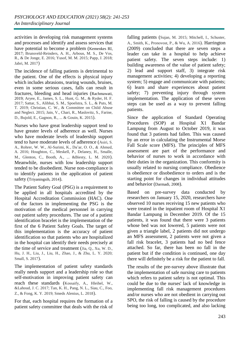activities in developing risk management systems and processes and identify and assess services that have potential to become a problem (Kemenkes RI, 2017; Brunsveld-Reinders, A. H., Arbous, M. S., De Vos, R., & De Jonge, E. 2016; Yusof, M. M. 2015; Papp, J. 2018; Jabri, M. 2017)

The incidence of falling patients is detrimental to the patient. One of the effects is physical injury which includes abrasions, tearing wounds, bruises, even in some serious cases, falls can result in fractures, bleeding and head injuries (Rachmawati, 2019; Aryee, E., James, S. L., Hunt, G. M., & Ryder, H. F. 2017; Sattar, S., Alibhai, S. M., Spoelstra, S. L., & Puts, M. T. 2019; Christian, C. W., & Committee on Child Abuse and Neglect. 2015; Jain, V., Chari, R., Maslovitz, S., Farine, D., Bujold, E., Gagnon, R., ... & Gouin, K. 2015).

Nurses who have great leadership support tend to have greater levels of adherence as well. Nurses who have moderate levels of leadership support tend to have moderate levels of adherence (Asiri, S. A., Rohrer, W. W., Al-Surimi, K., Da'ar, O. O., & Ahmed, A. 2016; Houghton, C., Meskell, P., Delaney, H., Smalle, M., Glenton, C., Booth, A., ... &Biesty, L. M. 2020). Meanwhile, nurses with low leadership support tended to be disobedient. Nurse non-compliance is to identify patients in the application of patient safety (Triyaningsih, 2014).

The Patient Safety Goal (PSG) is a requirement to be applied in all hospitals accredited by the Hospital Accreditation Commission (HAC). One of the factors in implementing the PSG is the motivation of the medical personnel in carrying out patient safety procedures. The use of a patient identification bracelet is the implementation of the first of the 6 Patient Safety Goals. The target of this implementation is the accuracy of patient identification so that patients who are hospitalized in the hospital can identify their needs precisely at the time of service and treatment (Jia, Q., Xu, W. D., Hu, J. H., Liu, J., Liu, H., Zhao, J., & Zhu, L. Y. 2020; Small, S. 2017).

The implementation of patient safety standards really needs support and a leadership role so that self-motivation in improving patient safety can reach these standards (Kossaify, A., Hleihel, W., &Lahoud, J. C. 2017; Tan, K. H., Pang, N. L., Siau, C., Foo, Z., & Fong, K. Y. 2019; Smeds Alenius, L. 2018).

For that, each hospital requires the formation of a patient safety committee that deals with the risk of falling patients (Sujan, M. 2015; Mitchell, I., Schuster, A., Smith, K., Pronovost, P., & Wu, A. 2016). Harrington (2009) concluded that there are seven steps a leader can take in a hospital to help achieve patient safety. The seven steps include: 1) building awareness of the value of patient safety; 2) lead and support staff, 3) integrate risk management activities; 4) developing a reporting system; 5) engage and communicate with patients; 6) learn and share experiences about patient safety; 7) preventing injury through system implementation. The application of these seven steps can be used as a way to prevent falling patients.

Since the application of Standard Operating Procedures (SOP) at Hospital X1 Bandar Lampung from August to October 2019, it was found that 3 patients had fallen. This was caused by an error in calculating the Instrumental Morse Fall Scale score (MFS). The principles of MFS assessment are part of the performance and behavior of nurses to work in accordance with their duties in the organization. This conformity is usually related to nursing compliance. Obedience is obedience or disobedience to orders and is the starting point for changes in individual attitudes and behavior (Darmadi, 2008).

Based on pre-survey data conducted by researchers on January 15, 2020, researchers have observed 10 nurses receiving 15 new patients who were treated in the inpatient room of Hospital X1 Bandar Lampung in December 2019. Of the 15 patients, it was found that there were 3 patients whose bed was not lowered, 5 patients were not given a triangle label, 2 patients did not undergo an MFS assessment, 2 patients were not given a fall risk bracelet, 3 patients had no bed fence attached. So far, there has been no fall in the patient but if the condition is continued, one day there will definitely be a risk for the patient to fall.

The results of the pre-survey above illustrate that the implementation of safe nursing care to patients which refers to patient safety is not optimal. This could be due to the nurses' lack of knowledge in implementing fall risk management procedures and/or nurses who are not obedient in carrying out SPO, the risk of falling is caused by the procedure being too long, too complicated, and also lacking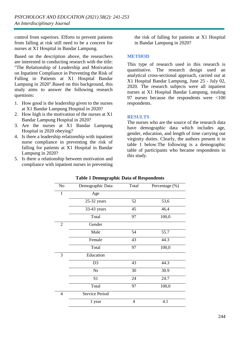control from superiors. Efforts to prevent patients from falling at risk still need to be a concern for nurses at X1 Hospital in Bandar Lampung.

Based on the description above, the researchers are interested in conducting research with the title: "The Relationship of Leadership and Motivation on Inpatient Compliance in Preventing the Risk of Falling in Patients at X1 Hospital Bandar Lampung in 2020".Based on this background, this study aims to answer the following research questions:

- 1. How good is the leadership given to the nurses at X1 Bandar Lampung Hospital in 2020?
- 2. How high is the motivation of the nurses at X1 Bandar Lampung Hospital in 2020?
- 3. Are the nurses at X1 Bandar Lampung Hospital in 2020 obeying?
- 4. Is there a leadership relationship with inpatient nurse compliance in preventing the risk of falling for patients at X1 Hospital in Bandar Lampung in 2020?
- 5. Is there a relationship between motivation and compliance with inpatient nurses in preventing

the risk of falling for patients at X1 Hospital in Bandar Lampung in 2020?

#### **METHOD**

This type of research used in this research is quantitative. The research design used an analytical cross-sectional approach, carried out at X1 Hospital Bandar Lampung, June 25 - July 02, 2020. The research subjects were all inpatient nurses at X1 Hospital Bandar Lampung, totaling 97 nurses because the respondents were <100 respondents.

#### **RESULTS**

The nurses who are the source of the research data have demographic data which includes age, gender, education, and length of time carrying out virginity duties. Clearly, the authors present it in table 1 below.The following is a demographic table of participants who became respondents in this study.

| N <sub>o</sub> | Demographic Data      | Total | Percentage (%) |
|----------------|-----------------------|-------|----------------|
| $\mathbf{1}$   | Age                   |       |                |
|                | 25-32 years           | 52    | 53,6           |
|                | 33-43 years           | 45    | 46,4           |
|                | Total                 | 97    | 100,0          |
| $\overline{2}$ | Gender                |       |                |
|                | Male                  | 54    | 55.7           |
|                | Female                | 43    | 44.3           |
|                | Total                 | 97    | 100,0          |
| 3              | Education             |       |                |
|                | D <sub>3</sub>        | 43    | 44.3           |
|                | <b>Ns</b>             | 30    | 30.9           |
|                | S <sub>1</sub>        | 24    | 24.7           |
|                | Total                 | 97    | 100,0          |
| $\overline{4}$ | <b>Service Period</b> |       |                |
|                | 1 year                | 4     | 4.1            |

#### **Table 1 Demographic Data of Respondents**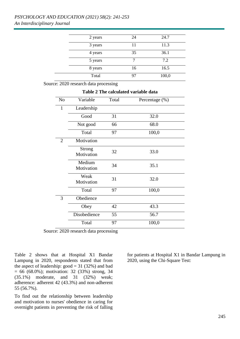| 2 years | 24 | 24.7  |
|---------|----|-------|
| 3 years | 11 | 11.3  |
| 4 years | 35 | 36.1  |
| 5 years |    | 7.2   |
| 8 years | 16 | 16.5  |
| Total   | 97 | 100,0 |

**Table 2 The calculated variable data**

Source: 2020 research data processing

| N <sub>o</sub> | Variable                    | Total | Percentage (%) |  |  |  |  |
|----------------|-----------------------------|-------|----------------|--|--|--|--|
| $\mathbf{1}$   | Leadership                  |       |                |  |  |  |  |
|                | Good                        | 31    | 32.0           |  |  |  |  |
|                | Not good                    | 66    | 68.0           |  |  |  |  |
|                | Total                       | 97    | 100,0          |  |  |  |  |
| $\overline{2}$ | Motivation                  |       |                |  |  |  |  |
|                | <b>Strong</b><br>Motivation | 32    | 33.0           |  |  |  |  |
|                | Medium<br>Motivation        | 34    | 35.1           |  |  |  |  |
|                | Weak<br>Motivation          | 31    | 32.0           |  |  |  |  |
|                | Total                       | 97    | 100,0          |  |  |  |  |
| 3              | Obedience                   |       |                |  |  |  |  |
|                | Obey                        | 42    | 43.3           |  |  |  |  |
|                | Disobedience                | 55    | 56.7           |  |  |  |  |
|                | Total                       | 97    | 100,0          |  |  |  |  |

Source: 2020 research data processing

Table 2 shows that at Hospital X1 Bandar Lampung in 2020, respondents stated that from the aspect of leadership:  $\text{good} = 31 (32\%)$  and bad  $= 66$  (68.0%); motivation: 32 (33%) strong, 34 (35.1%) moderate, and 31 (32%) weak; adherence: adherent 42 (43.3%) and non-adherent 55 (56.7%).

To find out the relationship between leadership and motivation to nurses' obedience in caring for overnight patients in preventing the risk of falling for patients at Hospital X1 in Bandar Lampung in 2020, using the Chi-Square Test: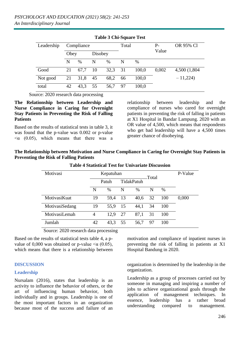| Leadership | Compliance |      |         | Total |    | Р-    | OR 95% Cl |               |
|------------|------------|------|---------|-------|----|-------|-----------|---------------|
|            | Obey       |      | Disobey |       |    |       | Value     |               |
|            | N          | %    | N       | $\%$  | N  | $\%$  |           |               |
| Good       | 21         | 67,7 | -10     | 32,3  | 31 | 100,0 | 0,002     | 4,500 (1,804) |
| Not good   | 21         | 31,8 | 45      | 68,2  | 66 | 100,0 |           | $-11,224$     |
| total      | 42         | 43,3 | 55      | 56,7  | 97 | 100,0 |           |               |

**Table 3 Chi-Square Test**

Source: 2020 research data processing

**The Relationship between Leadership and Nurse Compliance in Caring for Overnight Stay Patients in Preventing the Risk of Falling Patients**

Based on the results of statistical tests in table 3, it was found that the p-value was 0.002 or p-value  $\alpha$  (0.05), which means that there was a relationship between leadership and the compliance of nurses who cared for overnight patients in preventing the risk of falling in patients at X1 Hospital in Bandar Lampung. 2020 with an OR value of 4,500, which means that respondents who get bad leadership will have a 4,500 times greater chance of disobeying.

**The Relationship between Motivation and Nurse Compliance in Caring for Overnight Stay Patients in Preventing the Risk of Falling Patients** 

| Motivasi       |       | Kepatuhan     |            |      | Total |     | P-Value |
|----------------|-------|---------------|------------|------|-------|-----|---------|
|                | Patuh |               | TidakPatuh |      |       |     |         |
|                | N     | $\frac{0}{0}$ | N          | $\%$ | N     | %   |         |
| MotivasiKuat   | 19    | 59,4          | 13         | 40,6 | 32    | 100 | 0,000   |
| MotivasiSedang | 19    | 55.9          | 15         | 44,1 | 34    | 100 |         |
| MotivasiLemah  | 4     | 12.9          | 27         | 87,1 | 31    | 100 |         |
| Jumlah         | 42    | 43,3          | 55         | 56,7 | 97    | 100 |         |

#### **Table 4 Statistical Test for Univariate Discussion**

Source: 2020 research data processing

Based on the results of statistical tests table 4, a pvalue of 0,000 was obtained or p-value  $\alpha$  (0.05), which means that there is a relationship between

#### **DISCUSSION**

#### **Leadership**

Nursalam (2016), states that leadership is an activity to influence the behavior of others, or the art of influencing human behavior, both individually and in groups. Leadership is one of the most important factors in an organization because most of the success and failure of an motivation and compliance of inpatient nurses in preventing the risk of falling in patients at X1 Hospital Bandung in 2020.

organization is determined by the leadership in the organization.

Leadership as a group of processes carried out by someone in managing and inspiring a number of jobs to achieve organizational goals through the application of management techniques. In essence, leadership has a rather broad understanding compared to management.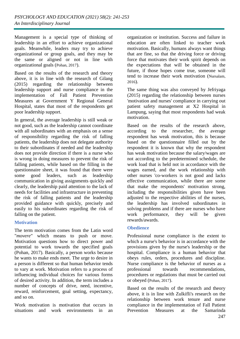Management is a special type of thinking of leadership in an effort to achieve organizational goals. Meanwhile, leaders may try to achieve organizational or group goals, and they may be the same or aligned or not in line with organizational goals (Pohan, 2017).

Based on the results of the research and theory above, it is in line with the research of Gilang (2015) regarding the relationship between leadership support and nurse compliance in the implementation of Fall Patient Prevention Measures at Government Y Regional General Hospital, states that most of the respondents get poor leadership support.

In general, the average leadership is still weak or not good, such as the leadership cannot coordinate with all subordinates with an emphasis on a sense of responsibility regarding the risk of falling patients, the leadership does not delegate authority to their subordinates if needed and the leadership does not provide direction if there is a nurse who is wrong in doing measures to prevent the risk of falling patients, while based on the filling in the questionnaire sheet, it was found that there were some good leaders, such as leadership communication in giving assignments quickly and clearly, the leadership paid attention to the lack of needs for facilities and infrastructure in preventing the risk of falling patients and the leadership provided guidance with quickly, precisely and easily to his subordinates regarding the risk of falling on the patient.

#### **Motivation**

The term motivation comes from the Latin word "*movere*" which means to push or move. Motivation questions how to direct power and potential to work towards the specified goals (Pohan, 2017). Basically, a person works because he wants to make ends meet. The urge to desire in a person is different so that human behavior tends to vary at work. Motivation refers to a process of influencing individual choices for various forms of desired activity. In addition, the term includes a number of concepts of drive, need, incentive, reward, reinforcement, goal setting, expectancy, and so on.

Work motivation is motivation that occurs in situations and work environments in an organization or institution. Success and failure in education are often linked to teacher work motivation. Basically, humans always want things that are fine, so that the driving force or driving force that motivates their work spirit depends on the expectations that will be obtained in the future, if those hopes come true, someone will tend to increase their work motivation (Nursalam, 2016).

The same thing was also conveyed by Jefriyaga (2015) regarding the relationship between nurses 'motivation and nurses' compliance in carrying out patient safety management at X2 Hospital in Lampung, saying that most respondents had weak motivation.

Based on the results of the research above, according to the researcher, the average respondent has weak motivation, this is because based on the questionnaire filled out by the respondent it is known that why the respondent has weak motivation because the salary/wages are not according to the predetermined schedule, the work load that is held not in accordance with the wages earned, and the work relationship with other nurses 'co-workers is not good and lacks effective communication, while there are some that make the respondents' motivation strong, including the responsibilities given have been adjusted to the respective abilities of the nurses, the leadership has involved subordinates in solving problems and if there are nurses who have work performance, they will be given rewards/awards.

#### **Obedience**

Professional nurse compliance is the extent to which a nurse's behavior is in accordance with the provisions given by the nurse's leadership or the hospital. Compliance is a human behavior that obeys rules, orders, procedures and discipline. Nurse compliance is the behavior of nurses as a professional towards recommendations, procedures or regulations that must be carried out or obeyed (Pohan, 2017).

Based on the results of the research and theory above, it is in line with Zulkifli's research on the relationship between work tenure and nurse compliance in the implementation of Fall Patient Prevention Measures at the Samarinda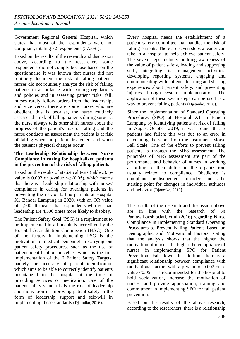Government Regional General Hospital, which states that most of the respondents were not compliant, totaling 72 respondents (57.3% ).

Based on the results of the research and discussion above, according to the researchers some respondents did not comply because based on the questionnaire it was known that nurses did not routinely document the risk of falling patients, nurses did not routinely analyze the risk of falling patients in accordance with existing regulations and policies and in assessing patient risks. fall, nurses rarely follow orders from the leadership, and vice versa, there are some nurses who are obedient, this is because, the nurse routinely assesses the risk of falling patients during surgery, the nurse always tells other shift nurses about the progress of the patient's risk of falling and the nurse conducts an assessment the patient is at risk of falling when the patient first enters and when the patient's physical changes occur.

#### **The Leadership Relationship between Nurse Compliance in caring for hospitalized patients in the prevention of the risk of falling patients**

Based on the results of statistical tests (table 3), pvalue is 0.002 or p-value  $\alpha$  (0.05), which means that there is a leadership relationship with nurses' compliance in caring for overnight patients in preventing the risk of falling patients at Hospital X1 Bandar Lampung in 2020, with an OR value of 4,500. It means that respondents who get bad leadership are 4,500 times more likely to disobey.

The Patient Safety Goal (PSG) is a requirement to be implemented in all hospitals accredited by the Hospital Accreditation Commission (HAC). One of the factors in implementing PSG is the motivation of medical personnel in carrying out patient safety procedures, such as the use of patient identification bracelets, which is the first implementation of the 6 Patient Safety Targets, namely the accuracy of patient identification which aims to be able to correctly identify patients hospitalized in the hospital at the time of providing services or medication. One of the patient safety standards is the role of leadership and motivation in improving patient safety in the form of leadership support and self-will in implementing these standards (Djatmiko, 2016).

Every hospital needs the establishment of a patient safety committee that handles the risk of falling patients. There are seven steps a leader can take in a hospital to help achieve patient safety. The seven steps include: building awareness of the value of patient safety, leading and supporting staff, integrating risk management activities, developing reporting systems, engaging and communicating with patients, learning and sharing experiences about patient safety, and preventing injuries through system implementation. The application of these seven steps can be used as a way to prevent falling patients (Djatmiko, 2016).

Since the implementation of Standard Operating Procedures (SPO) at Hospital X1 in Bandar Lampung by identifying patients at risk of falling in August-October 2019, it was found that 3 patients had fallen; this was due to an error in calculating the score from the Instrument Morse Fall Scale. One of the efforts to prevent falling patients is through the MFS assessment. The principles of MFS assessment are part of the performance and behavior of nurses in working according to their duties in the organization, usually related to compliance. Obedience is compliance or disobedience to orders, and is the starting point for changes in individual attitudes and behavior (Djatmiko, 2016).

The results of the research and discussion above are in line with the research of Ni PanjawiLacshitaJati, et al (2016) regarding Nurse Compliance in Implementing Standard Operating Procedures to Prevent Falling Patients Based on Demographic and Motivational Factors, stating that the analysis shows that the higher the motivation of nurses, the higher the compliance of nurses in implementing SPO for Patient Prevention. Fall down. In addition, there is a significant relationship between compliance with motivational factors with a p-value of 0.002 or pvalue <0.05. It is recommended for the hospital to hold socialization, increase the motivation of nurses, and provide appreciation, training and commitment in implementing SPO for fall patient prevention.

Based on the results of the above research, according to the researchers, there is a relationship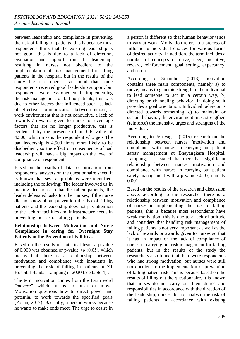between leadership and compliance in preventing the risk of falling on patients, this is because most respondents think that the existing leadership is not good, this is due to a lack of direction, evaluation and support from the leadership, resulting in nurses not obedient to the implementation of risk management for falling patients in the hospital, but in the results of the study the researchers also found that some respondents received good leadership support, but respondents were less obedient in implementing the risk management of falling patients, this was due to other factors that influenced such as, lack of effective communication between nurses, a work environment that is not conducive, a lack of rewards / rewards given to nurses or even age factors that are no longer productive, this is evidenced by the presence of an OR value of 4,500, which means the respondent who gets The bad leadership is 4,500 times more likely to be disobedient, so the effect or consequence of bad leadership will have a big impact on the level of compliance of respondents.

Based on the results of data recapitulation from respondents' answers on the questionnaire sheet, it is known that several problems were identified, including the following: The leader involved us in making decisions to handle fallen patients, the leader delegated tasks to other nurses, if the nurse did not know about prevention the risk of falling patients and the leadership does not pay attention to the lack of facilities and infrastructure needs in preventing the risk of falling patients.

#### **Relationship between Motivation and Nurse Compliance in caring for Overnight Stay Patients in the Prevention of Fall Risk**

Based on the results of statistical tests, a p-value of 0,000 was obtained or p-value  $\leq \alpha$  (0.05), which means that there is a relationship between motivation and compliance with inpatients in preventing the risk of falling in patients at X1 Hospital Bandar Lampung in 2020 (see table 4) .

The term motivation comes from the Latin word *"movere"* which means to push or move. Motivation questions how to direct power and potential to work towards the specified goals (Pohan, 2017). Basically, a person works because he wants to make ends meet. The urge to desire in

a person is different so that human behavior tends to vary at work. Motivation refers to a process of influencing individual choices for various forms of desired activity. In addition, the term includes a number of concepts of drive, need, incentive, reward, reinforcement, goal setting, expectancy, and so on.

According to Sinambela (2018) motivation contains three main components, namely a) to move, means to generate strength in the individual to lead someone to act in a certain way, b) directing or channeling behavior. In doing so it provides a goal orientation. Individual behavior is directed towards something, c) to maintain or sustain behavior, the environment must strengthen (reinforce) the intensity, urges and strengths of the individual.

According to Jefriyaga's (2015) research on the relationship between nurses 'motivation and compliance with nurses in carrying out patient safety management at Bhayangkara Hospital, Lampung, it is stated that there is a significant relationship between nurses' motivation and compliance with nurses in carrying out patient safety management with a p-value  $< 0.05$ , namely 0.001 .

Based on the results of the research and discussion above, according to the researcher there is a relationship between motivation and compliance of nurses in implementing the risk of falling patients, this is because most respondents have weak motivation, this is due to a lack of attitude and considers that handling risk management of falling patients is not very important as well as the lack of rewards or awards given to nurses so that it has an impact on the lack of compliance of nurses in carrying out risk management for falling patients, but in the results of the study the researchers also found that there were respondents who had strong motivation, but nurses were still not obedient to the implementation of prevention of falling patient risk This is because based on the results of filling out the questionnaire, it is known that nurses do not carry out their duties and responsibilities in accordance with the direction of the leadership, nurses do not analyze the risk of falling patients in accordance with existing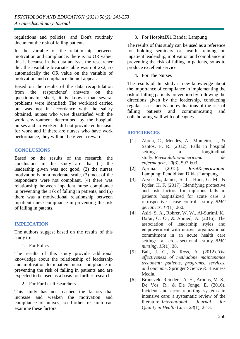regulations and policies, and Don't routinely document the risk of falling patients.

In the variable of the relationship between motivation and compliance, there is no OR value, this is because in the data analysis the researcher did, the available bivariate table was not 2x2, so automatically the OR value on the variable of motivation and compliance did not appear.

Based on the results of the data recapitulation from the respondents' answers on the questionnaire sheet, it is known that several problems were identified: The workload carried out was not in accordance with the salary obtained, nurses who were dissatisfied with the work environment determined by the hospital, nurses and co-workers did not provide enthusiasm for work and if there are nurses who have work performance, they will not be given a reward.

#### **CONCLUSIONS**

Based on the results of the research, the conclusions in this study are that (1) the leadership given was not good, (2) the nurses motivation is on a moderate scale, (3) most of the respondents were not compliant, (4) there was relationship between inpatient nurse compliance in preventing the risk of falling in patients, and (5) there was a motivational relationship between inpatient nurse compliance in preventing the risk of falling in patents.

### **IMPLICATION**

The authors suggest based on the results of this study to:

1. For Policy

The results of this study provide additional knowledge about the relationship of leadership and motivation to inpatient nurse compliance in preventing the risk of falling in patients and are expected to be used as a basis for further research.

2. For Further Researchers

This study has not reached the factors that increase and weaken the motivation and compliance of nurses, so further research can examine these factors.

### 3. For HospitalX1 Bandar Lampung

The results of this study can be used as a reference for holding seminars or health training on inpatient leadership, motivation and compliance in preventing the risk of falling in patients, so as to produce excellent service.

4. For The Nurses

The results of this study is new knowledge about the importance of compliance in implementing the risk of falling patients prevention by following the directions given by the leadership, conducting regular assessments and evaluations of the risk of falling patients and communicating and collaborating well with colleagues.

#### **REFERENCES**

- [1] Abreu, C., Mendes, A., Monteiro, J., & Santos, F. R. (2012). Falls in hospital settings: a longitudinal study. *Revistalatino-americana de enfermagem*, *20*(3), 597-603.
- [2] Aprina. (2015)*. RisetKeperawatan*. Lampung: Pendidikan Diklat Lampung.
- [3] Aryee, E., James, S. L., Hunt, G. M., & Ryder, H. F. (2017). Identifying protective and risk factors for injurious falls in patients hospitalized for acute care: a retrospective case-control study. *BMC geriatrics*, *17*(1), 260.
- [4] Asiri, S. A., Rohrer, W. W., Al-Surimi, K., Da'ar, O. O., & Ahmed, A. (2016). The association of leadership styles and empowerment with nurses' organizational commitment in an acute health care setting: a cross-sectional study. *BMC nursing*, *15*(1), 38.
- [5] Ball, J. C., & Ross, A. (2012). *The effectiveness of methadone maintenance treatment: patients, programs, services, and outcome*. Springer Science & Business Media.
- [6] Brunsveld-Reinders, A. H., Arbous, M. S., De Vos, R., & De Jonge, E. (2016). Incident and error reporting systems in intensive care: a systematic review of the literature. *International Journal for Quality in Health Care*, *28*(1), 2-13.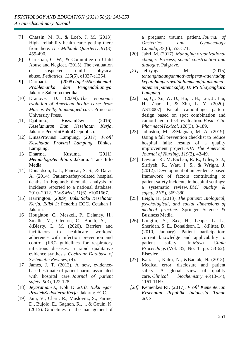- [7] Chassin, M. R., & Loeb, J. M. (2013). High-reliability health care: getting there from here. *The Milbank Quarterly*, *91*(3), 459-490.
- [8] Christian, C. W., & Committee on Child Abuse and Neglect. (2015). The evaluation of suspected child physical abuse. *Pediatrics*, *135*(5), e1337-e1354.
- [9] Darmadi. (2008).*InfeksiNosokomial: Problematika dan Pengendaliannya*. Jakarta: Salemba medika.
- [10] Dranove, D. (2009). *The economic evolution of American health care: from Marcus Welby to managed care*. Princeton University Press.
- [11] Djatmiko, RiswanDwi. (2016). *Keselamatan Dan Kesehatan Kerja*. Jakarta: PenerbitBukuDeepublish.
- [12] DinasProvinsi Lampung. (2017). *Profil Kesehatan Provinsi Lampung*. Dinkes: Lampung.
- [13] Dharma, Kusuma. (2011). *MetodelogiPenelitian*. Jakarta: Trans Info Media.
- [14] Donaldson, L. J., Panesar, S. S., & Darzi, A. (2014). Patient-safety-related hospital deaths in England: thematic analysis of incidents reported to a national database, 2010–2012. *PLoS Med*, *11*(6), e1001667.
- [15] Harrington. (2009). *Buku Saku Kesehatan Kerja. Edisi 3*: Penerbit EGC. Cetakan I. Jakarta.
- [16] Houghton, C., Meskell, P., Delaney, H., Smalle, M., Glenton, C., Booth, A., ... &Biesty, L. M. (2020). Barriers and facilitators to healthcare workers' adherence with infection prevention and control (IPC) guidelines for respiratory infectious diseases: a rapid qualitative evidence synthesis. *Cochrane Database of Systematic Reviews*, (4).
- [17] James, J. T. (2013). A new, evidencebased estimate of patient harms associated with hospital care. *Journal of patient safety*, *9*(3), 122-128.
- [18] *Jeyaratnam* J., Koh D. *2010*. *Buku Ajar. PraktekKedokteranKerja*. Jakarta: EGC.
- [19] Jain, V., Chari, R., Maslovitz, S., Farine, D., Bujold, E., Gagnon, R., ... & Gouin, K. (2015). Guidelines for the management of

a pregnant trauma patient. *Journal of Obstetrics and Gynaecology Canada*, *37*(6), 553-571.

- [20] Jabri, M. (2017). *Managing organizational change: Process, social construction and dialogue*. Palgrave.
- *[21]* Jefriyaga. M. (2015) *tentanghubunganmotivasiperawatterhadap kepatuhanperawatdalammenajalankanma najemen patient safety Di RS Bhayangkara Lampung.*
- [22] Jia, Q., Xu, W. D., Hu, J. H., Liu, J., Liu, H., Zhao, J., & Zhu, L. Y. (2020). AS18007| Facial camouflage pattern design based on spot combination and camouflage effect evaluation. *Basic Clin PharmacolToxicol*, *126*(3), 3-189.
- [23] Johnston, M., &Magnan, M. A. (2019). Using a fall prevention checklist to reduce hospital falls: results of a quality improvement project. *AJN The American Journal of Nursing*, *119*(3), 43-49.
- [24] Lawton, R., McEachan, R. R., Giles, S. J., Sirriyeh, R., Watt, I. S., & Wright, J. (2012). Development of an evidence-based framework of factors contributing to patient safety incidents in hospital settings: a systematic review. *BMJ quality & safety*, *21*(5), 369-380.
- [25] Leigh, H. (2013). *The patient: Biological, psychological, and social dimensions of medical practice*. Springer Science & Business Media.
- [26] Longtin, Y., Sax, H., Leape, L. L., Sheridan, S. E., Donaldson, L., &Pittet, D. (2010, January). Patient participation: current knowledge and applicability to patient safety. In *Mayo Clinic Proceedings* (Vol. 85, No. 1, pp. 53-62). Elsevier.
- [27] Kalra, J., Kalra, N., &Baniak, N. (2013). Medical error, disclosure and patient safety: A global view of quality care. *Clinical biochemistry*, *46*(13-14), 1161-1169.
- *[28]* Kemenkes RI. (2017). *Profil Kementerian Kesehatan Republik Indonesia Tahun 2017.*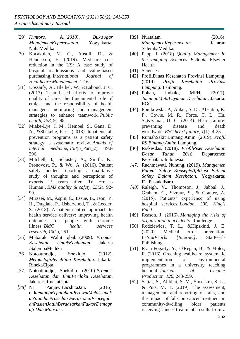- [29] *Kuntoro*, A. (*2010)*. *Buku Ajar ManajemenKeperawatan*. Yogyakarta: NuhaMedika
- [30] Kocakulah, M. C., Austill, D., & Henderson, E. (2019). Medicare cost reduction in the US: A case study of hospital readmissions and value-based purchasing. *International Journal of Healthcare Management*, 1-16.
- [31] Kossaify, A., Hleihel, W., &Lahoud, J. C. (2017). Team-based efforts to improve quality of care, the fundamental role of ethics, and the responsibility of health managers: monitoring and management strategies to enhance teamwork. *Public health*, *153*, 91-98.
- [32] Miake-Lye, I. M., Hempel, S., Ganz, D. A., &Shekelle, P. G. (2013). Inpatient fall prevention programs as a patient safety strategy: a systematic review. *Annals of internal medicine*, *158*(5\_Part\_2), 390- 396.
- [33] Mitchell, I., Schuster, A., Smith, K., Pronovost, P., & Wu, A. (2016). Patient safety incident reporting: a qualitative study of thoughts and perceptions of experts 15 years after 'To Err is Human'. *BMJ quality & safety*, *25*(2), 92- 99.
- [34] Mirzaei, M., Aspin, C., Essue, B., Jeon, Y. H., Dugdale, P., Usherwood, T., & Leeder, S. (2013). A patient-centred approach to health service delivery: improving health outcomes for people with chronic illness. *BMC health services research*, *13*(1), 251.
- [35] Mubarak, Wahit Iqbal. (2009)*. Promosi Kesehatan UntukKebidanan*. Jakarta :SalembaMedika
- [36] Notoatmodjo, Soekidjo. (2012). *MetodelogiPenelitian Kesehatan*. Jakarta: RinekaCipta.
- [37] Notoatmodjo, Soekidjo. (2010).*Promosi Kesehatan dan IlmuPerilaku Kesehatan*. Jakarta: RinekaCipta.
- *[38]* Ni PanjawiLacshitaJati. (2016). dkk*tentangKepatuhanPerawatMelaksanak anStandarProsedurOperasionalPencegah anPasienJatuhBerdasarkanFaktorDemogr afi Dan Motivasi.*
- [39] Nursalam. (2016). *ManajemenKeperawatan*. Jakarta: SalembaMedika.
- [40] Papp, J. (2018). *Quality Management in the Imaging Sciences E-Book*. Elsevier Health
- [41] Sciences.
- [42] ProfilDinas Kesehatan Provinsi Lampung. (2019). *Profil Kesehatan Provinsi Lampung*: Lampung.
- [43] Pohan, Imbalo, MPH. (2017). *JaminanMutuLayanan Kesehatan*. Jakarta: EGC.
- [44] Ponikowski, P., Anker, S. D., AlHabib, K. F., Cowie, M. R., Force, T. L., Hu, S.,&Samal, U. C. (2014). Heart failure: preventing disease and death worldwide. *ESC heart failure*, *1*(1), 4-25.
- [45] RumahSakit Bintang Amin. (2019). *Profil RS Bintang Amin*: Lampung.
- [46] Riskesdas. (2018). *ProfilRiset Kesehatan Dasar Tahun 2018.* Departemen Kesehatan: Indonesia.
- *[47]* Rachmawati, Nunung. (2019)*. Manajemen Patient Safety Konsep&Aplikasi Patient Safety Dalam Kesehatan*. Yogyakarta: PT.PustakaBaru*.*
- *[48]* Raleigh, V., Thompson, J., Jabbal, J., Graham, C., Sizmur, S., & Coulter, A. (2015). Patients' experience of using hospital services. *London, UK: King's Fund*.
- [49] Reason, J. (2016). *Managing the risks of organizational accidents*. Routledge .
- [50] Rodziewicz, T. L., &Hipskind, J. E. (2020). Medical error prevention. In *StatPearls [Internet]*. StatPearls Publishing.
- [51] Ryan-Fogarty, Y., O'Regan, B., & Moles, R. (2016). Greening healthcare: systematic implementation of environmental programmes in a university teaching hospital. *Journal of Cleaner Production*, *126*, 248-259.
- [52] Sattar, S., Alibhai, S. M., Spoelstra, S. L., & Puts, M. T. (2019). The assessment, management, and reporting of falls, and the impact of falls on cancer treatment in community-dwelling older patients receiving cancer treatment: results from a